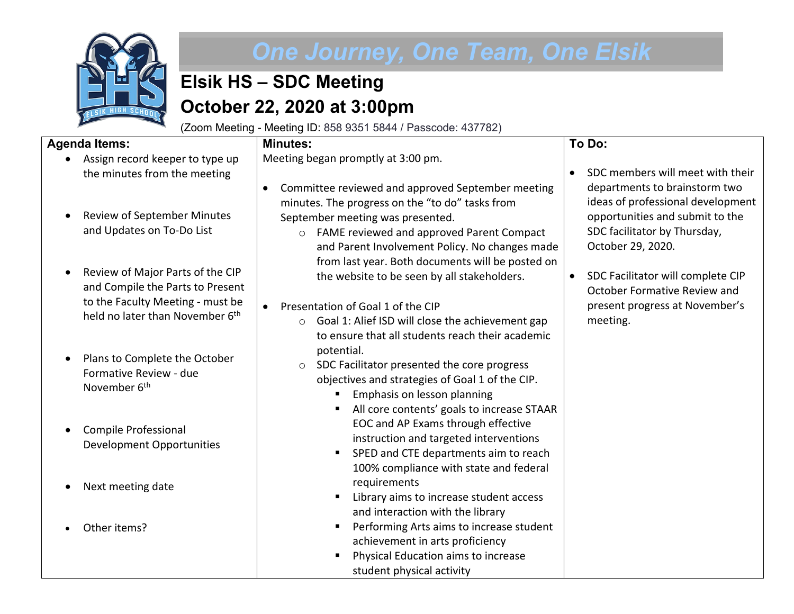

# *One Journey, One Team, One Elsik*

# **Elsik HS – SDC Meeting October 22, 2020 at 3:00pm**

(Zoom Meeting - Meeting ID: 858 9351 5844 / Passcode: 437782)

#### **Agenda Items:**

**Minutes:**

• Assign record keeper to type up the minutes from the meeting Meeting began promptly at 3:00 pm.

- Review of September Minutes and Updates on To-Do List
- Review of Major Parts of the CIP and Compile the Parts to Present to the Faculty Meeting - must be held no later than November 6<sup>th</sup>
- Plans to Complete the October Formative Review - due November 6<sup>th</sup>
- Compile Professional Development Opportunities
- Next meeting date
- Other items?
- Committee reviewed and approved September meeting minutes. The progress on the "to do" tasks from September meeting was presented.
	- o FAME reviewed and approved Parent Compact and Parent Involvement Policy. No changes made from last year. Both documents will be posted on the website to be seen by all stakeholders.

## • Presentation of Goal 1 of the CIP

- o Goal 1: Alief ISD will close the achievement gap to ensure that all students reach their academic potential.
- o SDC Facilitator presented the core progress objectives and strategies of Goal 1 of the CIP.
	- **Emphasis on lesson planning**
	- All core contents' goals to increase STAAR EOC and AP Exams through effective instruction and targeted interventions
	- SPED and CTE departments aim to reach 100% compliance with state and federal requirements
	- Library aims to increase student access and interaction with the library
	- Performing Arts aims to increase student achievement in arts proficiency
	- Physical Education aims to increase student physical activity

## **To Do:**

- SDC members will meet with their departments to brainstorm two ideas of professional development opportunities and submit to the SDC facilitator by Thursday, October 29, 2020.
- SDC Facilitator will complete CIP October Formative Review and present progress at November's meeting.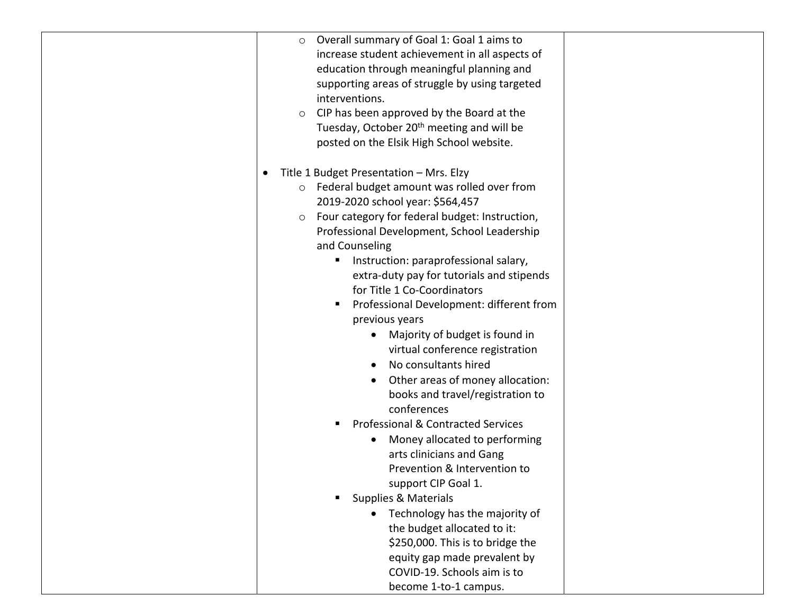| O Overall summary of Goal 1: Goal 1 aims to<br>increase student achievement in all aspects of<br>education through meaningful planning and<br>supporting areas of struggle by using targeted<br>interventions.<br>CIP has been approved by the Board at the<br>$\circ$<br>Tuesday, October 20 <sup>th</sup> meeting and will be<br>posted on the Elsik High School website.                                                                                                                                                                                                                                                                                                                                                                                                                                                                                                                                                                                                                                                       |
|-----------------------------------------------------------------------------------------------------------------------------------------------------------------------------------------------------------------------------------------------------------------------------------------------------------------------------------------------------------------------------------------------------------------------------------------------------------------------------------------------------------------------------------------------------------------------------------------------------------------------------------------------------------------------------------------------------------------------------------------------------------------------------------------------------------------------------------------------------------------------------------------------------------------------------------------------------------------------------------------------------------------------------------|
| Title 1 Budget Presentation - Mrs. Elzy<br>Federal budget amount was rolled over from<br>$\circ$<br>2019-2020 school year: \$564,457<br>Four category for federal budget: Instruction,<br>$\circ$<br>Professional Development, School Leadership<br>and Counseling<br>Instruction: paraprofessional salary,<br>п<br>extra-duty pay for tutorials and stipends<br>for Title 1 Co-Coordinators<br>Professional Development: different from<br>ш<br>previous years<br>Majority of budget is found in<br>virtual conference registration<br>No consultants hired<br>Other areas of money allocation:<br>books and travel/registration to<br>conferences<br><b>Professional &amp; Contracted Services</b><br>Money allocated to performing<br>arts clinicians and Gang<br>Prevention & Intervention to<br>support CIP Goal 1.<br><b>Supplies &amp; Materials</b><br>• Technology has the majority of<br>the budget allocated to it:<br>\$250,000. This is to bridge the<br>equity gap made prevalent by<br>COVID-19. Schools aim is to |
| become 1-to-1 campus.                                                                                                                                                                                                                                                                                                                                                                                                                                                                                                                                                                                                                                                                                                                                                                                                                                                                                                                                                                                                             |